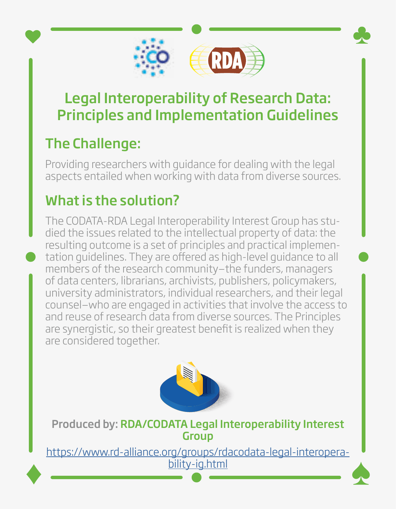

## Legal Interoperability of Research Data: Principles and Implementation Guidelines

## The Challenge:

Providing researchers with guidance for dealing with the legal aspects entailed when working with data from diverse sources.

## What is the solution?

The CODATA-RDA Legal Interoperability Interest Group has studied the issues related to the intellectual property of data: the resulting outcome is a set of principles and practical implementation guidelines. They are offered as high-level guidance to all members of the research community—the funders, managers of data centers, librarians, archivists, publishers, policymakers, university administrators, individual researchers, and their legal counsel—who are engaged in activities that involve the access to and reuse of research data from diverse sources. The Principles are synergistic, so their greatest benefit is realized when they are considered together.



Produced by: RDA/CODATA Legal Interoperability Interest **Group** 

[https://www.rd-alliance.org/groups/rdacodata-legal-interopera](https://www.rd-alliance.org/groups/rdacodata-legal-interoperability-ig.html)[bility-ig.html](https://www.rd-alliance.org/groups/rdacodata-legal-interoperability-ig.html)